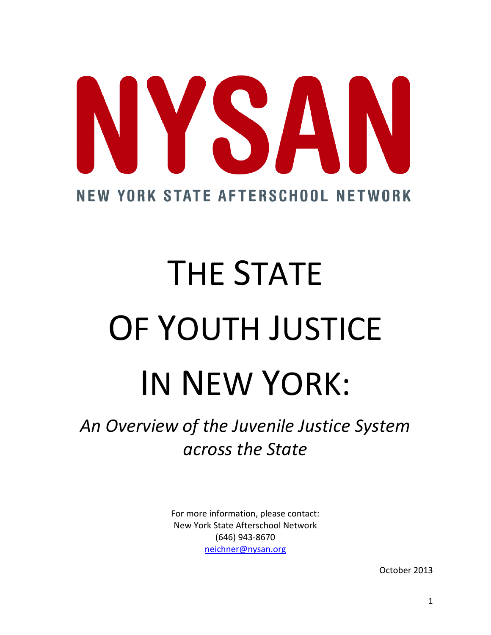# YSA **NEW YORK STATE AFTERSCHOOL NETWORK**

# THE STATE OF YOUTH JUSTICE IN NEW YORK:

*An Overview of the Juvenile Justice System across the State*

> For more information, please contact: New York State Afterschool Network (646) 943-8670 [neichner@nysan.org](mailto:neichner@nysan.org)

> > October 2013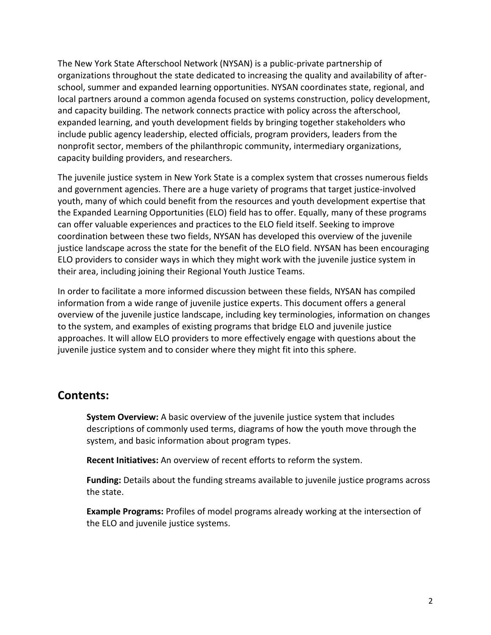The New York State Afterschool Network (NYSAN) is a public-private partnership of organizations throughout the state dedicated to increasing the quality and availability of afterschool, summer and expanded learning opportunities. NYSAN coordinates state, regional, and local partners around a common agenda focused on systems construction, policy development, and capacity building. The network connects practice with policy across the afterschool, expanded learning, and youth development fields by bringing together stakeholders who include public agency leadership, elected officials, program providers, leaders from the nonprofit sector, members of the philanthropic community, intermediary organizations, capacity building providers, and researchers.

The juvenile justice system in New York State is a complex system that crosses numerous fields and government agencies. There are a huge variety of programs that target justice-involved youth, many of which could benefit from the resources and youth development expertise that the Expanded Learning Opportunities (ELO) field has to offer. Equally, many of these programs can offer valuable experiences and practices to the ELO field itself. Seeking to improve coordination between these two fields, NYSAN has developed this overview of the juvenile justice landscape across the state for the benefit of the ELO field. NYSAN has been encouraging ELO providers to consider ways in which they might work with the juvenile justice system in their area, including joining their Regional Youth Justice Teams.

In order to facilitate a more informed discussion between these fields, NYSAN has compiled information from a wide range of juvenile justice experts. This document offers a general overview of the juvenile justice landscape, including key terminologies, information on changes to the system, and examples of existing programs that bridge ELO and juvenile justice approaches. It will allow ELO providers to more effectively engage with questions about the juvenile justice system and to consider where they might fit into this sphere.

#### **Contents:**

**System Overview:** A basic overview of the juvenile justice system that includes descriptions of commonly used terms, diagrams of how the youth move through the system, and basic information about program types.

**Recent Initiatives:** An overview of recent efforts to reform the system.

**Funding:** Details about the funding streams available to juvenile justice programs across the state.

**Example Programs:** Profiles of model programs already working at the intersection of the ELO and juvenile justice systems.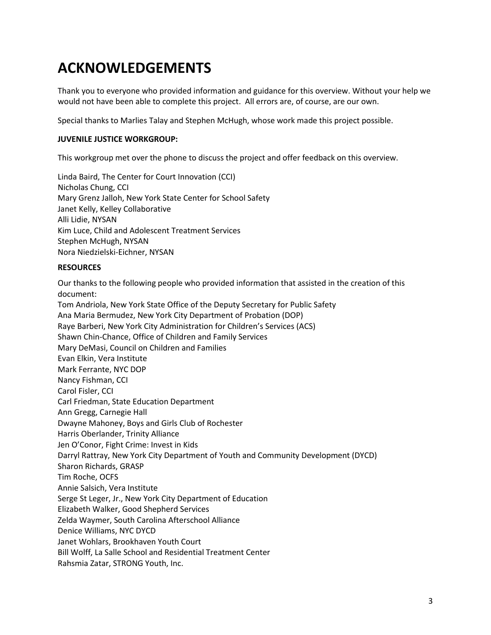## **ACKNOWLEDGEMENTS**

Thank you to everyone who provided information and guidance for this overview. Without your help we would not have been able to complete this project. All errors are, of course, are our own.

Special thanks to Marlies Talay and Stephen McHugh, whose work made this project possible.

#### **JUVENILE JUSTICE WORKGROUP:**

This workgroup met over the phone to discuss the project and offer feedback on this overview.

Linda Baird, The Center for Court Innovation (CCI) Nicholas Chung, CCI Mary Grenz Jalloh, New York State Center for School Safety Janet Kelly, Kelley Collaborative Alli Lidie, NYSAN Kim Luce, Child and Adolescent Treatment Services Stephen McHugh, NYSAN Nora Niedzielski-Eichner, NYSAN

#### **RESOURCES**

Our thanks to the following people who provided information that assisted in the creation of this document: Tom Andriola, New York State Office of the Deputy Secretary for Public Safety Ana Maria Bermudez, New York City Department of Probation (DOP) Raye Barberi, New York City Administration for Children's Services (ACS) Shawn Chin-Chance, Office of Children and Family Services Mary DeMasi, Council on Children and Families Evan Elkin, Vera Institute Mark Ferrante, NYC DOP Nancy Fishman, CCI Carol Fisler, CCI Carl Friedman, State Education Department Ann Gregg, Carnegie Hall Dwayne Mahoney, Boys and Girls Club of Rochester Harris Oberlander, Trinity Alliance Jen O'Conor, Fight Crime: Invest in Kids Darryl Rattray, New York City Department of Youth and Community Development (DYCD) Sharon Richards, GRASP Tim Roche, OCFS Annie Salsich, Vera Institute Serge St Leger, Jr., New York City Department of Education Elizabeth Walker, Good Shepherd Services Zelda Waymer, South Carolina Afterschool Alliance Denice Williams, NYC DYCD Janet Wohlars, Brookhaven Youth Court Bill Wolff, La Salle School and Residential Treatment Center Rahsmia Zatar, STRONG Youth, Inc.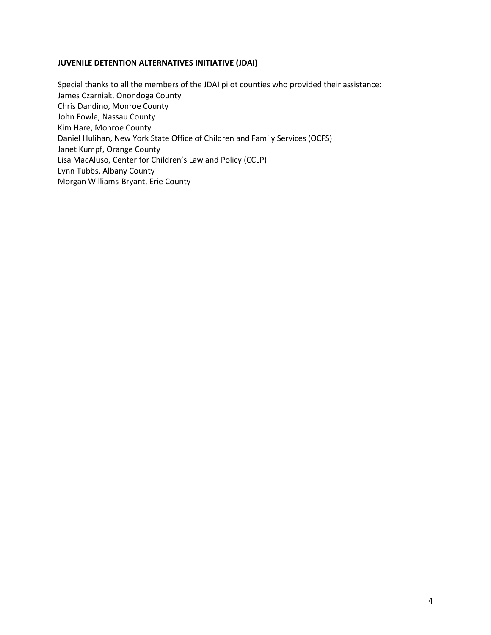#### **JUVENILE DETENTION ALTERNATIVES INITIATIVE (JDAI)**

Special thanks to all the members of the JDAI pilot counties who provided their assistance: James Czarniak, Onondoga County Chris Dandino, Monroe County John Fowle, Nassau County Kim Hare, Monroe County Daniel Hulihan, New York State Office of Children and Family Services (OCFS) Janet Kumpf, Orange County Lisa MacAluso, Center for Children's Law and Policy (CCLP) Lynn Tubbs, Albany County Morgan Williams-Bryant, Erie County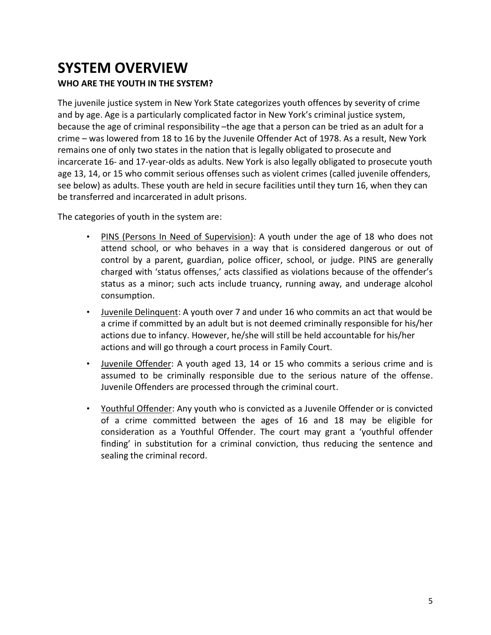### **SYSTEM OVERVIEW WHO ARE THE YOUTH IN THE SYSTEM?**

The juvenile justice system in New York State categorizes youth offences by severity of crime and by age. Age is a particularly complicated factor in New York's criminal justice system, because the age of criminal responsibility –the age that a person can be tried as an adult for a crime – was lowered from 18 to 16 by the Juvenile Offender Act of 1978. As a result, New York remains one of only two states in the nation that is legally obligated to prosecute and incarcerate 16- and 17-year-olds as adults. New York is also legally obligated to prosecute youth age 13, 14, or 15 who commit serious offenses such as violent crimes (called juvenile offenders, see below) as adults. These youth are held in secure facilities until they turn 16, when they can be transferred and incarcerated in adult prisons.

The categories of youth in the system are:

- PINS (Persons In Need of Supervision): A youth under the age of 18 who does not attend school, or who behaves in a way that is considered dangerous or out of control by a parent, guardian, police officer, school, or judge. PINS are generally charged with 'status offenses,' acts classified as violations because of the offender's status as a minor; such acts include truancy, running away, and underage alcohol consumption.
- Juvenile Delinquent: A youth over 7 and under 16 who commits an act that would be a crime if committed by an adult but is not deemed criminally responsible for his/her actions due to infancy. However, he/she will still be held accountable for his/her actions and will go through a court process in Family Court.
- Juvenile Offender: A youth aged 13, 14 or 15 who commits a serious crime and is assumed to be criminally responsible due to the serious nature of the offense. Juvenile Offenders are processed through the criminal court.
- Youthful Offender: Any youth who is convicted as a Juvenile Offender or is convicted of a crime committed between the ages of 16 and 18 may be eligible for consideration as a Youthful Offender. The court may grant a 'youthful offender finding' in substitution for a criminal conviction, thus reducing the sentence and sealing the criminal record.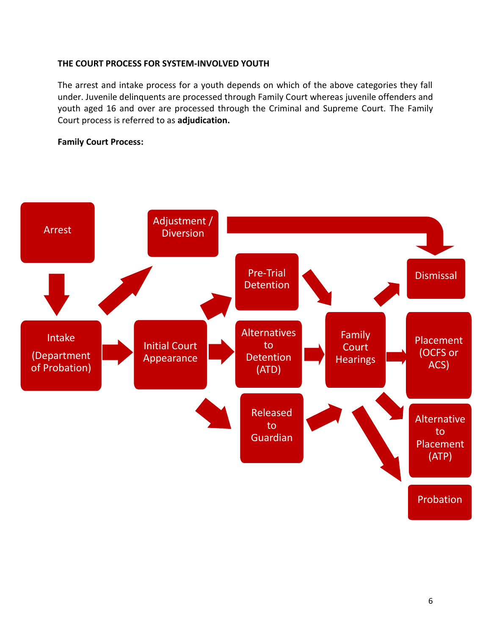#### **THE COURT PROCESS FOR SYSTEM-INVOLVED YOUTH**

The arrest and intake process for a youth depends on which of the above categories they fall under. Juvenile delinquents are processed through Family Court whereas juvenile offenders and youth aged 16 and over are processed through the Criminal and Supreme Court. The Family Court process is referred to as **adjudication.**

#### **Family Court Process:**

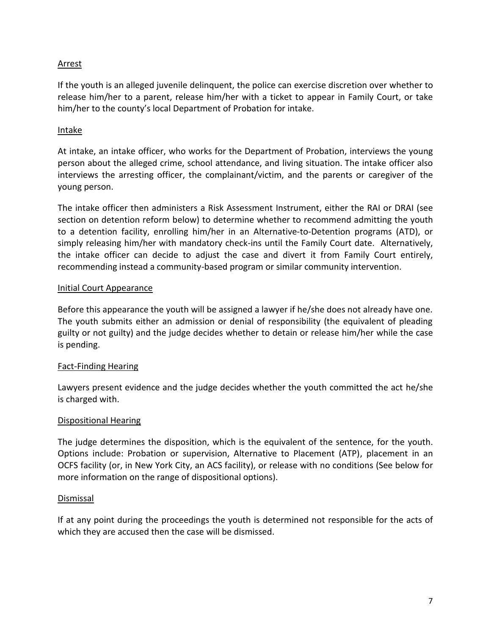#### Arrest

If the youth is an alleged juvenile delinquent, the police can exercise discretion over whether to release him/her to a parent, release him/her with a ticket to appear in Family Court, or take him/her to the county's local Department of Probation for intake.

#### Intake

At intake, an intake officer, who works for the Department of Probation, interviews the young person about the alleged crime, school attendance, and living situation. The intake officer also interviews the arresting officer, the complainant/victim, and the parents or caregiver of the young person.

The intake officer then administers a Risk Assessment Instrument, either the RAI or DRAI (see section on detention reform below) to determine whether to recommend admitting the youth to a detention facility, enrolling him/her in an Alternative-to-Detention programs (ATD), or simply releasing him/her with mandatory check-ins until the Family Court date. Alternatively, the intake officer can decide to adjust the case and divert it from Family Court entirely, recommending instead a community-based program or similar community intervention.

#### Initial Court Appearance

Before this appearance the youth will be assigned a lawyer if he/she does not already have one. The youth submits either an admission or denial of responsibility (the equivalent of pleading guilty or not guilty) and the judge decides whether to detain or release him/her while the case is pending.

#### Fact-Finding Hearing

Lawyers present evidence and the judge decides whether the youth committed the act he/she is charged with.

#### Dispositional Hearing

The judge determines the disposition, which is the equivalent of the sentence, for the youth. Options include: Probation or supervision, Alternative to Placement (ATP), placement in an OCFS facility (or, in New York City, an ACS facility), or release with no conditions (See below for more information on the range of dispositional options).

#### Dismissal

If at any point during the proceedings the youth is determined not responsible for the acts of which they are accused then the case will be dismissed.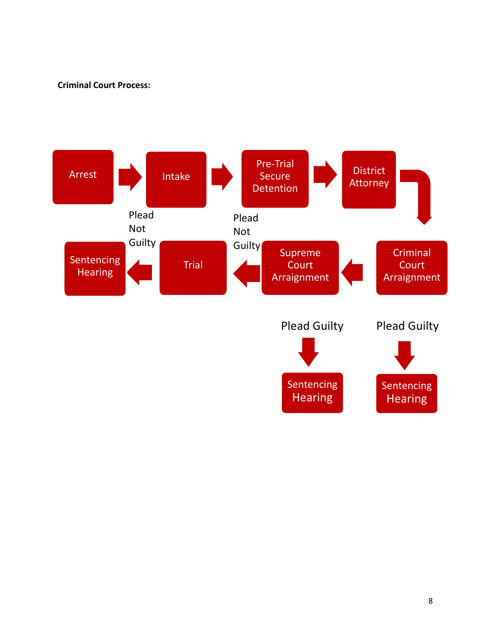#### **Criminal Court Process:**

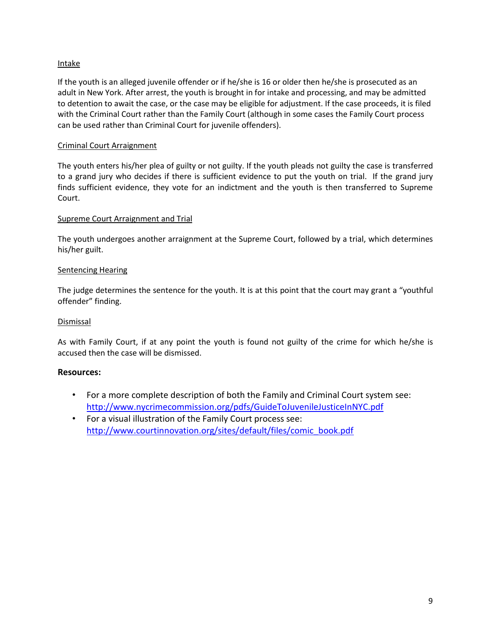#### **Intake**

If the youth is an alleged juvenile offender or if he/she is 16 or older then he/she is prosecuted as an adult in New York. After arrest, the youth is brought in for intake and processing, and may be admitted to detention to await the case, or the case may be eligible for adjustment. If the case proceeds, it is filed with the Criminal Court rather than the Family Court (although in some cases the Family Court process can be used rather than Criminal Court for juvenile offenders).

#### Criminal Court Arraignment

The youth enters his/her plea of guilty or not guilty. If the youth pleads not guilty the case is transferred to a grand jury who decides if there is sufficient evidence to put the youth on trial. If the grand jury finds sufficient evidence, they vote for an indictment and the youth is then transferred to Supreme Court.

#### Supreme Court Arraignment and Trial

The youth undergoes another arraignment at the Supreme Court, followed by a trial, which determines his/her guilt.

#### Sentencing Hearing

The judge determines the sentence for the youth. It is at this point that the court may grant a "youthful offender" finding.

#### **Dismissal**

As with Family Court, if at any point the youth is found not guilty of the crime for which he/she is accused then the case will be dismissed.

#### **Resources:**

- For a more complete description of both the Family and Criminal Court system see: <http://www.nycrimecommission.org/pdfs/GuideToJuvenileJusticeInNYC.pdf>
- For a visual illustration of the Family Court process see: [http://www.courtinnovation.org/sites/default/files/comic\\_book.pdf](http://www.courtinnovation.org/sites/default/files/comic_book.pdf)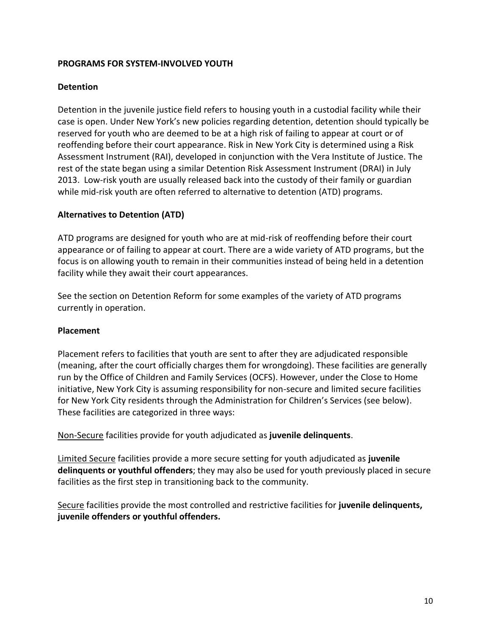#### **PROGRAMS FOR SYSTEM-INVOLVED YOUTH**

#### **Detention**

Detention in the juvenile justice field refers to housing youth in a custodial facility while their case is open. Under New York's new policies regarding detention, detention should typically be reserved for youth who are deemed to be at a high risk of failing to appear at court or of reoffending before their court appearance. Risk in New York City is determined using a Risk Assessment Instrument (RAI), developed in conjunction with the Vera Institute of Justice. The rest of the state began using a similar Detention Risk Assessment Instrument (DRAI) in July 2013. Low-risk youth are usually released back into the custody of their family or guardian while mid-risk youth are often referred to alternative to detention (ATD) programs.

#### **Alternatives to Detention (ATD)**

ATD programs are designed for youth who are at mid-risk of reoffending before their court appearance or of failing to appear at court. There are a wide variety of ATD programs, but the focus is on allowing youth to remain in their communities instead of being held in a detention facility while they await their court appearances.

See the section on Detention Reform for some examples of the variety of ATD programs currently in operation.

#### **Placement**

Placement refers to facilities that youth are sent to after they are adjudicated responsible (meaning, after the court officially charges them for wrongdoing). These facilities are generally run by the Office of Children and Family Services (OCFS). However, under the Close to Home initiative, New York City is assuming responsibility for non-secure and limited secure facilities for New York City residents through the Administration for Children's Services (see below). These facilities are categorized in three ways:

Non-Secure facilities provide for youth adjudicated as **juvenile delinquents**.

Limited Secure facilities provide a more secure setting for youth adjudicated as **juvenile delinquents or youthful offenders**; they may also be used for youth previously placed in secure facilities as the first step in transitioning back to the community.

Secure facilities provide the most controlled and restrictive facilities for **juvenile delinquents, juvenile offenders or youthful offenders.**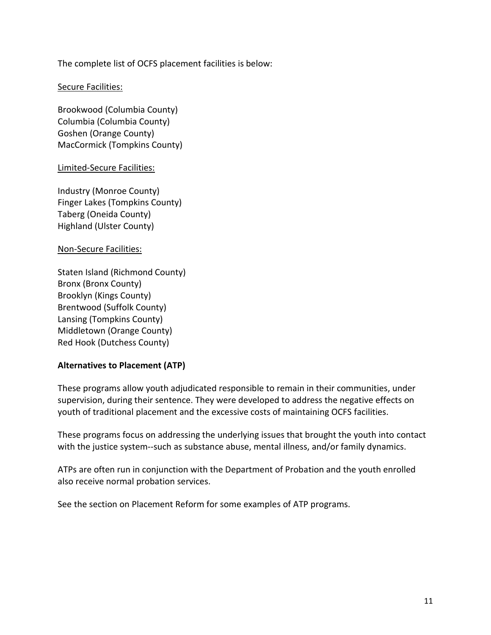The complete list of OCFS placement facilities is below:

#### Secure Facilities:

Brookwood (Columbia County) Columbia (Columbia County) Goshen (Orange County) MacCormick (Tompkins County)

#### Limited-Secure Facilities:

Industry (Monroe County) Finger Lakes (Tompkins County) Taberg (Oneida County) Highland (Ulster County)

#### Non-Secure Facilities:

Staten Island (Richmond County) Bronx (Bronx County) Brooklyn (Kings County) Brentwood (Suffolk County) Lansing (Tompkins County) Middletown (Orange County) Red Hook (Dutchess County)

#### **Alternatives to Placement (ATP)**

These programs allow youth adjudicated responsible to remain in their communities, under supervision, during their sentence. They were developed to address the negative effects on youth of traditional placement and the excessive costs of maintaining OCFS facilities.

These programs focus on addressing the underlying issues that brought the youth into contact with the justice system--such as substance abuse, mental illness, and/or family dynamics.

ATPs are often run in conjunction with the Department of Probation and the youth enrolled also receive normal probation services.

See the section on Placement Reform for some examples of ATP programs.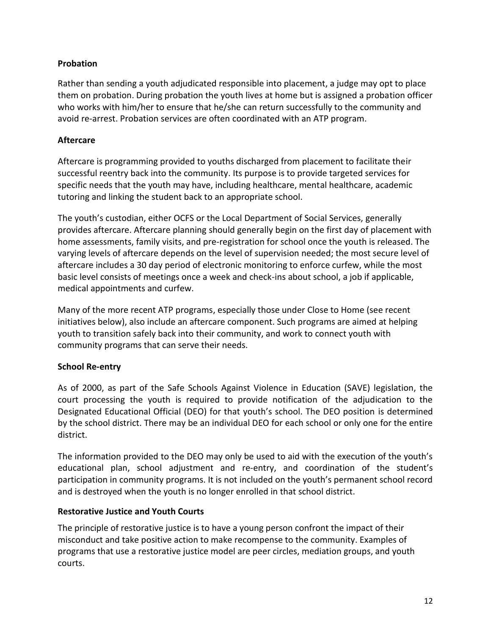#### **Probation**

Rather than sending a youth adjudicated responsible into placement, a judge may opt to place them on probation. During probation the youth lives at home but is assigned a probation officer who works with him/her to ensure that he/she can return successfully to the community and avoid re-arrest. Probation services are often coordinated with an ATP program.

#### **Aftercare**

Aftercare is programming provided to youths discharged from placement to facilitate their successful reentry back into the community. Its purpose is to provide targeted services for specific needs that the youth may have, including healthcare, mental healthcare, academic tutoring and linking the student back to an appropriate school.

The youth's custodian, either OCFS or the Local Department of Social Services, generally provides aftercare. Aftercare planning should generally begin on the first day of placement with home assessments, family visits, and pre-registration for school once the youth is released. The varying levels of aftercare depends on the level of supervision needed; the most secure level of aftercare includes a 30 day period of electronic monitoring to enforce curfew, while the most basic level consists of meetings once a week and check-ins about school, a job if applicable, medical appointments and curfew.

Many of the more recent ATP programs, especially those under Close to Home (see recent initiatives below), also include an aftercare component. Such programs are aimed at helping youth to transition safely back into their community, and work to connect youth with community programs that can serve their needs.

#### **School Re-entry**

As of 2000, as part of the Safe Schools Against Violence in Education (SAVE) legislation, the court processing the youth is required to provide notification of the adjudication to the Designated Educational Official (DEO) for that youth's school. The DEO position is determined by the school district. There may be an individual DEO for each school or only one for the entire district.

The information provided to the DEO may only be used to aid with the execution of the youth's educational plan, school adjustment and re-entry, and coordination of the student's participation in community programs. It is not included on the youth's permanent school record and is destroyed when the youth is no longer enrolled in that school district.

#### **Restorative Justice and Youth Courts**

The principle of restorative justice is to have a young person confront the impact of their misconduct and take positive action to make recompense to the community. Examples of programs that use a restorative justice model are peer circles, mediation groups, and youth courts.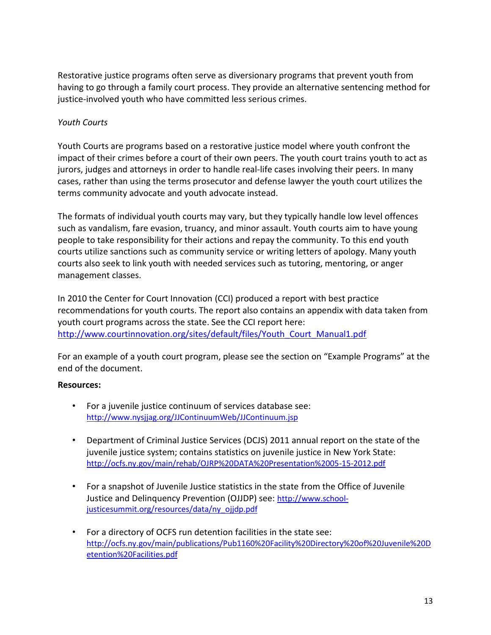Restorative justice programs often serve as diversionary programs that prevent youth from having to go through a family court process. They provide an alternative sentencing method for justice-involved youth who have committed less serious crimes.

#### *Youth Courts*

Youth Courts are programs based on a restorative justice model where youth confront the impact of their crimes before a court of their own peers. The youth court trains youth to act as jurors, judges and attorneys in order to handle real-life cases involving their peers. In many cases, rather than using the terms prosecutor and defense lawyer the youth court utilizes the terms community advocate and youth advocate instead.

The formats of individual youth courts may vary, but they typically handle low level offences such as vandalism, fare evasion, truancy, and minor assault. Youth courts aim to have young people to take responsibility for their actions and repay the community. To this end youth courts utilize sanctions such as community service or writing letters of apology. Many youth courts also seek to link youth with needed services such as tutoring, mentoring, or anger management classes.

In 2010 the Center for Court Innovation (CCI) produced a report with best practice recommendations for youth courts. The report also contains an appendix with data taken from youth court programs across the state. See the CCI report here: [http://www.courtinnovation.org/sites/default/files/Youth\\_Court\\_Manual1.pdf](http://www.courtinnovation.org/sites/default/files/Youth_Court_Manual1.pdf)

For an example of a youth court program, please see the section on "Example Programs" at the end of the document.

#### **Resources:**

- For a juvenile justice continuum of services database see: <http://www.nysjjag.org/JJContinuumWeb/JJContinuum.jsp>
- Department of Criminal Justice Services (DCJS) 2011 annual report on the state of the juvenile justice system; contains statistics on juvenile justice in New York State: <http://ocfs.ny.gov/main/rehab/OJRP%20DATA%20Presentation%2005-15-2012.pdf>
- For a snapshot of Juvenile Justice statistics in the state from the Office of Juvenile Justice and Delinquency Prevention (OJJDP) see: [http://www.school](http://www.school-justicesummit.org/resources/data/ny_ojjdp.pdf)[justicesummit.org/resources/data/ny\\_ojjdp.pdf](http://www.school-justicesummit.org/resources/data/ny_ojjdp.pdf)
- For a directory of OCFS run detention facilities in the state see: [http://ocfs.ny.gov/main/publications/Pub1160%20Facility%20Directory%20of%20Juvenile%20D](http://ocfs.ny.gov/main/publications/Pub1160%20Facility%20Directory%20of%20Juvenile%20Detention%20Facilities.pdf) [etention%20Facilities.pdf](http://ocfs.ny.gov/main/publications/Pub1160%20Facility%20Directory%20of%20Juvenile%20Detention%20Facilities.pdf)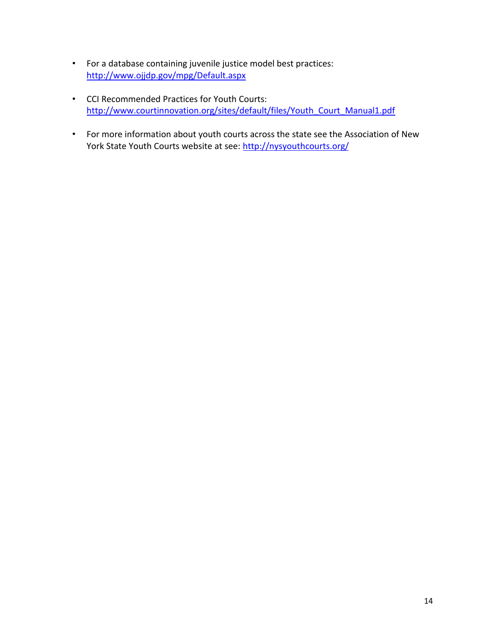- For a database containing juvenile justice model best practices: <http://www.ojjdp.gov/mpg/Default.aspx>
- CCI Recommended Practices for Youth Courts: [http://www.courtinnovation.org/sites/default/files/Youth\\_Court\\_Manual1.pdf](http://www.courtinnovation.org/sites/default/files/Youth_Court_Manual1.pdf)
- For more information about youth courts across the state see the Association of New York State Youth Courts website at see: <http://nysyouthcourts.org/>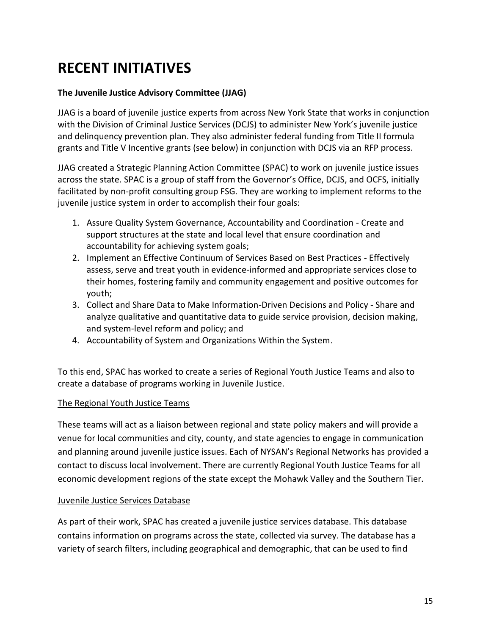# **RECENT INITIATIVES**

#### **The Juvenile Justice Advisory Committee (JJAG)**

JJAG is a board of juvenile justice experts from across New York State that works in conjunction with the Division of Criminal Justice Services (DCJS) to administer New York's juvenile justice and delinquency prevention plan. They also administer federal funding from Title II formula grants and Title V Incentive grants (see below) in conjunction with DCJS via an RFP process.

JJAG created a Strategic Planning Action Committee (SPAC) to work on juvenile justice issues across the state. SPAC is a group of staff from the Governor's Office, DCJS, and OCFS, initially facilitated by non-profit consulting group FSG. They are working to implement reforms to the juvenile justice system in order to accomplish their four goals:

- 1. Assure Quality System Governance, Accountability and Coordination Create and support structures at the state and local level that ensure coordination and accountability for achieving system goals;
- 2. Implement an Effective Continuum of Services Based on Best Practices Effectively assess, serve and treat youth in evidence-informed and appropriate services close to their homes, fostering family and community engagement and positive outcomes for youth;
- 3. Collect and Share Data to Make Information-Driven Decisions and Policy Share and analyze qualitative and quantitative data to guide service provision, decision making, and system-level reform and policy; and
- 4. Accountability of System and Organizations Within the System.

To this end, SPAC has worked to create a series of Regional Youth Justice Teams and also to create a database of programs working in Juvenile Justice.

#### The Regional Youth Justice Teams

These teams will act as a liaison between regional and state policy makers and will provide a venue for local communities and city, county, and state agencies to engage in communication and planning around juvenile justice issues. Each of NYSAN's Regional Networks has provided a contact to discuss local involvement. There are currently Regional Youth Justice Teams for all economic development regions of the state except the Mohawk Valley and the Southern Tier.

#### Juvenile Justice Services Database

As part of their work, SPAC has created a juvenile justice services database. This database contains information on programs across the state, collected via survey. The database has a variety of search filters, including geographical and demographic, that can be used to find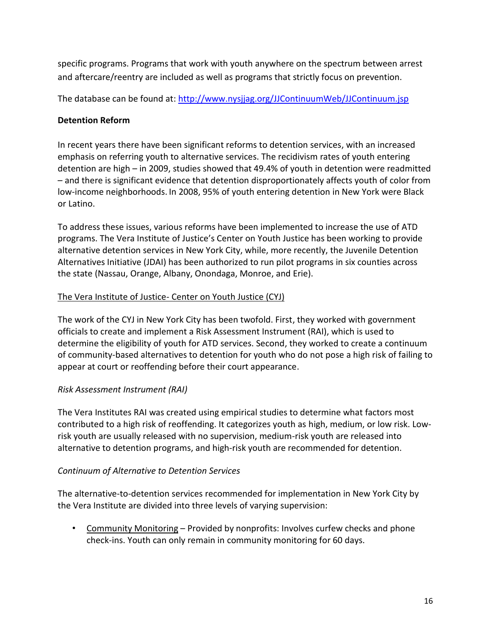specific programs. Programs that work with youth anywhere on the spectrum between arrest and aftercare/reentry are included as well as programs that strictly focus on prevention.

The database can be found at: <http://www.nysjjag.org/JJContinuumWeb/JJContinuum.jsp>

#### **Detention Reform**

In recent years there have been significant reforms to detention services, with an increased emphasis on referring youth to alternative services. The recidivism rates of youth entering detention are high – in 2009, studies showed that 49.4% of youth in detention were readmitted – and there is significant evidence that detention disproportionately affects youth of color from low-income neighborhoods. In 2008, 95% of youth entering detention in New York were Black or Latino.

To address these issues, various reforms have been implemented to increase the use of ATD programs. The Vera Institute of Justice's Center on Youth Justice has been working to provide alternative detention services in New York City, while, more recently, the Juvenile Detention Alternatives Initiative (JDAI) has been authorized to run pilot programs in six counties across the state (Nassau, Orange, Albany, Onondaga, Monroe, and Erie).

#### The Vera Institute of Justice- Center on Youth Justice (CYJ)

The work of the CYJ in New York City has been twofold. First, they worked with government officials to create and implement a Risk Assessment Instrument (RAI), which is used to determine the eligibility of youth for ATD services. Second, they worked to create a continuum of community-based alternatives to detention for youth who do not pose a high risk of failing to appear at court or reoffending before their court appearance.

#### *Risk Assessment Instrument (RAI)*

The Vera Institutes RAI was created using empirical studies to determine what factors most contributed to a high risk of reoffending. It categorizes youth as high, medium, or low risk. Lowrisk youth are usually released with no supervision, medium-risk youth are released into alternative to detention programs, and high-risk youth are recommended for detention.

#### *Continuum of Alternative to Detention Services*

The alternative-to-detention services recommended for implementation in New York City by the Vera Institute are divided into three levels of varying supervision:

• Community Monitoring – Provided by nonprofits: Involves curfew checks and phone check-ins. Youth can only remain in community monitoring for 60 days.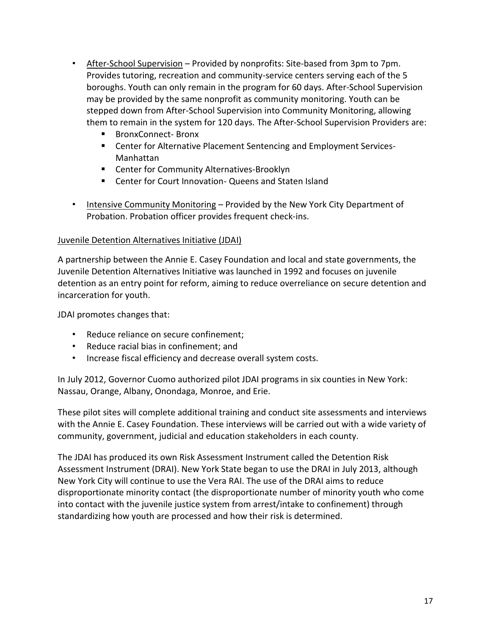- After-School Supervision Provided by nonprofits: Site-based from 3pm to 7pm. Provides tutoring, recreation and community-service centers serving each of the 5 boroughs. Youth can only remain in the program for 60 days. After-School Supervision may be provided by the same nonprofit as community monitoring. Youth can be stepped down from After-School Supervision into Community Monitoring, allowing them to remain in the system for 120 days. The After-School Supervision Providers are:
	- BronxConnect- Bronx
	- Center for Alternative Placement Sentencing and Employment Services-Manhattan
	- **EXTER** Center for Community Alternatives-Brooklyn
	- Center for Court Innovation- Queens and Staten Island
- Intensive Community Monitoring Provided by the New York City Department of Probation. Probation officer provides frequent check-ins.

#### Juvenile Detention Alternatives Initiative (JDAI)

A partnership between the Annie E. Casey Foundation and local and state governments, the Juvenile Detention Alternatives Initiative was launched in 1992 and focuses on juvenile detention as an entry point for reform, aiming to reduce overreliance on secure detention and incarceration for youth.

JDAI promotes changes that:

- Reduce reliance on secure confinement;
- Reduce racial bias in confinement; and
- Increase fiscal efficiency and decrease overall system costs.

In July 2012, Governor Cuomo authorized pilot JDAI programs in six counties in New York: Nassau, Orange, Albany, Onondaga, Monroe, and Erie.

These pilot sites will complete additional training and conduct site assessments and interviews with the Annie E. Casey Foundation. These interviews will be carried out with a wide variety of community, government, judicial and education stakeholders in each county.

The JDAI has produced its own Risk Assessment Instrument called the Detention Risk Assessment Instrument (DRAI). New York State began to use the DRAI in July 2013, although New York City will continue to use the Vera RAI. The use of the DRAI aims to reduce disproportionate minority contact (the disproportionate number of minority youth who come into contact with the juvenile justice system from arrest/intake to confinement) through standardizing how youth are processed and how their risk is determined.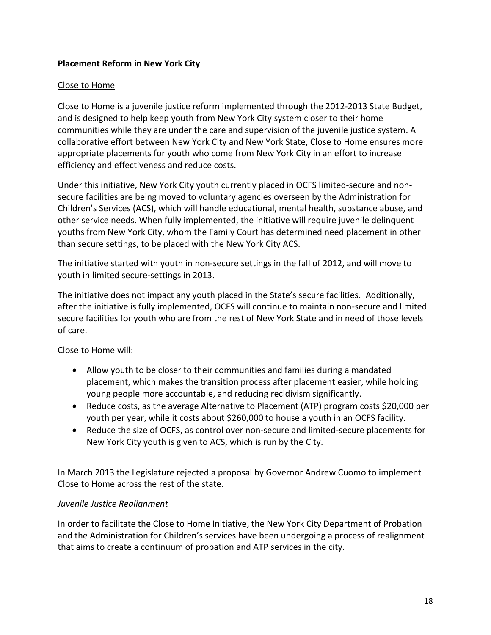#### **Placement Reform in New York City**

#### Close to Home

Close to Home is a juvenile justice reform implemented through the 2012-2013 State Budget, and is designed to help keep youth from New York City system closer to their home communities while they are under the care and supervision of the juvenile justice system. A collaborative effort between New York City and New York State, Close to Home ensures more appropriate placements for youth who come from New York City in an effort to increase efficiency and effectiveness and reduce costs.

Under this initiative, New York City youth currently placed in OCFS limited-secure and nonsecure facilities are being moved to voluntary agencies overseen by the Administration for Children's Services (ACS), which will handle educational, mental health, substance abuse, and other service needs. When fully implemented, the initiative will require juvenile delinquent youths from New York City, whom the Family Court has determined need placement in other than secure settings, to be placed with the New York City ACS.

The initiative started with youth in non-secure settings in the fall of 2012, and will move to youth in limited secure-settings in 2013.

The initiative does not impact any youth placed in the State's secure facilities. Additionally, after the initiative is fully implemented, OCFS will continue to maintain non-secure and limited secure facilities for youth who are from the rest of New York State and in need of those levels of care.

Close to Home will:

- Allow youth to be closer to their communities and families during a mandated placement, which makes the transition process after placement easier, while holding young people more accountable, and reducing recidivism significantly.
- Reduce costs, as the average Alternative to Placement (ATP) program costs \$20,000 per youth per year, while it costs about \$260,000 to house a youth in an OCFS facility.
- Reduce the size of OCFS, as control over non-secure and limited-secure placements for New York City youth is given to ACS, which is run by the City.

In March 2013 the Legislature rejected a proposal by Governor Andrew Cuomo to implement Close to Home across the rest of the state.

#### *Juvenile Justice Realignment*

In order to facilitate the Close to Home Initiative, the New York City Department of Probation and the Administration for Children's services have been undergoing a process of realignment that aims to create a continuum of probation and ATP services in the city.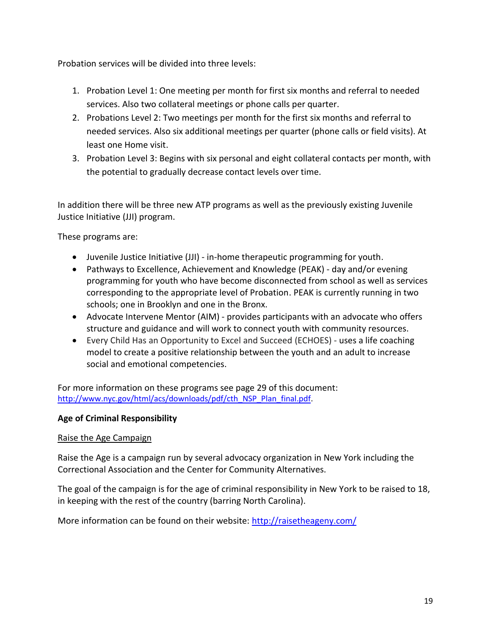Probation services will be divided into three levels:

- 1. Probation Level 1: One meeting per month for first six months and referral to needed services. Also two collateral meetings or phone calls per quarter.
- 2. Probations Level 2: Two meetings per month for the first six months and referral to needed services. Also six additional meetings per quarter (phone calls or field visits). At least one Home visit.
- 3. Probation Level 3: Begins with six personal and eight collateral contacts per month, with the potential to gradually decrease contact levels over time.

In addition there will be three new ATP programs as well as the previously existing Juvenile Justice Initiative (JJI) program.

These programs are:

- Juvenile Justice Initiative (JJI) in-home therapeutic programming for youth.
- Pathways to Excellence, Achievement and Knowledge (PEAK) day and/or evening programming for youth who have become disconnected from school as well as services corresponding to the appropriate level of Probation. PEAK is currently running in two schools; one in Brooklyn and one in the Bronx.
- Advocate Intervene Mentor (AIM) provides participants with an advocate who offers structure and guidance and will work to connect youth with community resources.
- Every Child Has an Opportunity to Excel and Succeed (ECHOES) uses a life coaching model to create a positive relationship between the youth and an adult to increase social and emotional competencies.

For more information on these programs see page 29 of this document: [http://www.nyc.gov/html/acs/downloads/pdf/cth\\_NSP\\_Plan\\_final.pdf.](http://www.nyc.gov/html/acs/downloads/pdf/cth_NSP_Plan_final.pdf)

#### **Age of Criminal Responsibility**

#### Raise the Age Campaign

Raise the Age is a campaign run by several advocacy organization in New York including the Correctional Association and the Center for Community Alternatives.

The goal of the campaign is for the age of criminal responsibility in New York to be raised to 18, in keeping with the rest of the country (barring North Carolina).

More information can be found on their website:<http://raisetheageny.com/>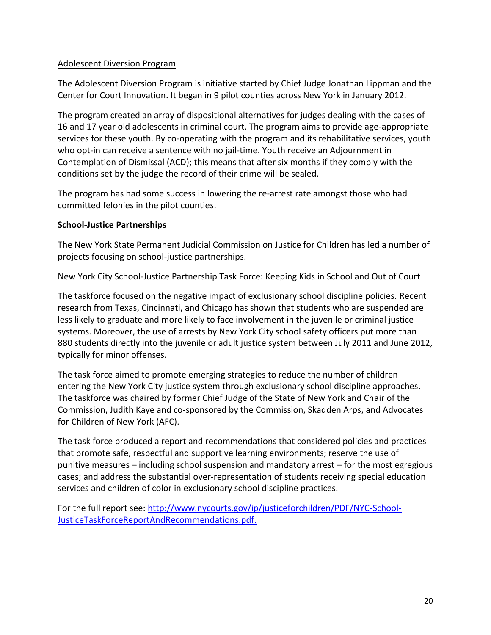#### Adolescent Diversion Program

The Adolescent Diversion Program is initiative started by Chief Judge Jonathan Lippman and the Center for Court Innovation. It began in 9 pilot counties across New York in January 2012.

The program created an array of dispositional alternatives for judges dealing with the cases of 16 and 17 year old adolescents in criminal court. The program aims to provide age-appropriate services for these youth. By co-operating with the program and its rehabilitative services, youth who opt-in can receive a sentence with no jail-time. Youth receive an Adjournment in Contemplation of Dismissal (ACD); this means that after six months if they comply with the conditions set by the judge the record of their crime will be sealed.

The program has had some success in lowering the re-arrest rate amongst those who had committed felonies in the pilot counties.

#### **School-Justice Partnerships**

The New York State Permanent Judicial Commission on Justice for Children has led a number of projects focusing on school-justice partnerships.

#### New York City School-Justice Partnership Task Force: Keeping Kids in School and Out of Court

The taskforce focused on the negative impact of exclusionary school discipline policies. Recent research from Texas, Cincinnati, and Chicago has shown that students who are suspended are less likely to graduate and more likely to face involvement in the juvenile or criminal justice systems. Moreover, the use of arrests by New York City school safety officers put more than 880 students directly into the juvenile or adult justice system between July 2011 and June 2012, typically for minor offenses.

The task force aimed to promote emerging strategies to reduce the number of children entering the New York City justice system through exclusionary school discipline approaches. The taskforce was chaired by former Chief Judge of the State of New York and Chair of the Commission, Judith Kaye and co-sponsored by the Commission, Skadden Arps, and Advocates for Children of New York (AFC).

The task force produced a report and recommendations that considered policies and practices that promote safe, respectful and supportive learning environments; reserve the use of punitive measures – including school suspension and mandatory arrest – for the most egregious cases; and address the substantial over-representation of students receiving special education services and children of color in exclusionary school discipline practices.

For the full report see: [http://www.nycourts.gov/ip/justiceforchildren/PDF/NYC-School-](http://www.nycourts.gov/ip/justiceforchildren/PDF/NYC-School-JusticeTaskForceReportAndRecommendations.pdf)[JusticeTaskForceReportAndRecommendations.pdf.](http://www.nycourts.gov/ip/justiceforchildren/PDF/NYC-School-JusticeTaskForceReportAndRecommendations.pdf)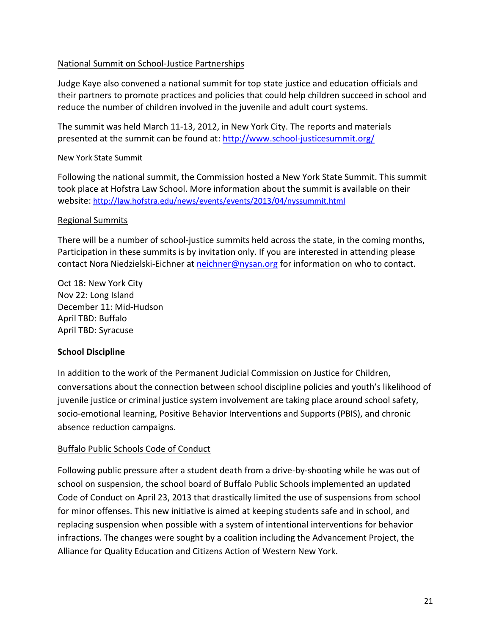#### National Summit on School-Justice Partnerships

Judge Kaye also convened a national summit for top state justice and education officials and their partners to promote practices and policies that could help children succeed in school and reduce the number of children involved in the juvenile and adult court systems.

The summit was held March 11-13, 2012, in New York City. The reports and materials presented at the summit can be found at[: http://www.school-justicesummit.org/](http://www.school-justicesummit.org/)

#### New York State Summit

Following the national summit, the Commission hosted a New York State Summit. This summit took place at Hofstra Law School. More information about the summit is available on their website: <http://law.hofstra.edu/news/events/events/2013/04/nyssummit.html>

#### Regional Summits

There will be a number of school-justice summits held across the state, in the coming months, Participation in these summits is by invitation only. If you are interested in attending please contact Nora Niedzielski-Eichner at [neichner@nysan.org](mailto:neichner@nysan.org) for information on who to contact.

Oct 18: New York City Nov 22: Long Island December 11: Mid-Hudson April TBD: Buffalo April TBD: Syracuse

#### **School Discipline**

In addition to the work of the Permanent Judicial Commission on Justice for Children, conversations about the connection between school discipline policies and youth's likelihood of juvenile justice or criminal justice system involvement are taking place around school safety, socio-emotional learning, Positive Behavior Interventions and Supports (PBIS), and chronic absence reduction campaigns.

#### Buffalo Public Schools Code of Conduct

Following public pressure after a student death from a drive-by-shooting while he was out of school on suspension, the school board of Buffalo Public Schools implemented an updated Code of Conduct on April 23, 2013 that drastically limited the use of suspensions from school for minor offenses. This new initiative is aimed at keeping students safe and in school, and replacing suspension when possible with a system of intentional interventions for behavior infractions. The changes were sought by a coalition including the Advancement Project, the Alliance for Quality Education and Citizens Action of Western New York.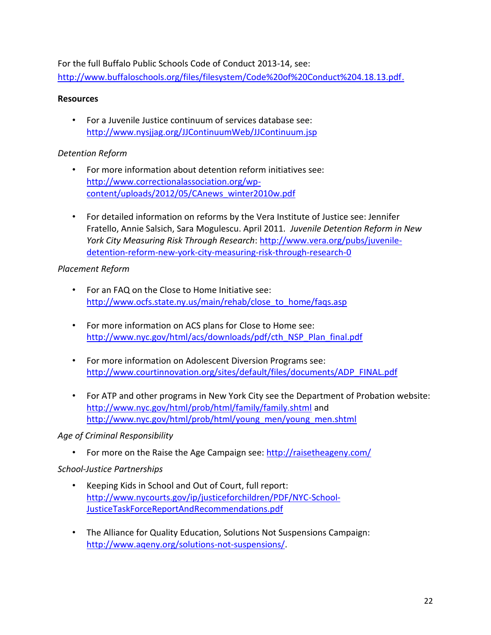For the full Buffalo Public Schools Code of Conduct 2013-14, see: [http://www.buffaloschools.org/files/filesystem/Code%20of%20Conduct%204.18.13.pdf.](http://www.buffaloschools.org/files/filesystem/Code%20of%20Conduct%204.18.13.pdf)

#### **Resources**

• For a Juvenile Justice continuum of services database see: <http://www.nysjjag.org/JJContinuumWeb/JJContinuum.jsp>

#### *Detention Reform*

- For more information about detention reform initiatives see: [http://www.correctionalassociation.org/wp](http://www.correctionalassociation.org/wp-content/uploads/2012/05/CAnews_winter2010w.pdf)[content/uploads/2012/05/CAnews\\_winter2010w.pdf](http://www.correctionalassociation.org/wp-content/uploads/2012/05/CAnews_winter2010w.pdf)
- For detailed information on reforms by the Vera Institute of Justice see: Jennifer Fratello, Annie Salsich, Sara Mogulescu. April 2011*. Juvenile Detention Reform in New York City Measuring Risk Through Research*: [http://www.vera.org/pubs/juvenile](http://www.vera.org/pubs/juvenile-detention-reform-new-york-city-measuring-risk-through-research-0)[detention-reform-new-york-city-measuring-risk-through-research-0](http://www.vera.org/pubs/juvenile-detention-reform-new-york-city-measuring-risk-through-research-0)

#### *Placement Reform*

- For an FAQ on the Close to Home Initiative see: [http://www.ocfs.state.ny.us/main/rehab/close\\_to\\_home/faqs.asp](http://www.ocfs.state.ny.us/main/rehab/close_to_home/faqs.asp)
- For more information on ACS plans for Close to Home see: [http://www.nyc.gov/html/acs/downloads/pdf/cth\\_NSP\\_Plan\\_final.pdf](http://www.nyc.gov/html/acs/downloads/pdf/cth_NSP_Plan_final.pdf)
- For more information on Adolescent Diversion Programs see: [http://www.courtinnovation.org/sites/default/files/documents/ADP\\_FINAL.pdf](http://www.courtinnovation.org/sites/default/files/documents/ADP_FINAL.pdf)
- For ATP and other programs in New York City see the Department of Probation website: <http://www.nyc.gov/html/prob/html/family/family.shtml> and [http://www.nyc.gov/html/prob/html/young\\_men/young\\_men.shtml](http://www.nyc.gov/html/prob/html/young_men/young_men.shtml)

*Age of Criminal Responsibility*

• For more on the Raise the Age Campaign see:<http://raisetheageny.com/>

#### *School-Justice Partnerships*

- Keeping Kids in School and Out of Court, full report: [http://www.nycourts.gov/ip/justiceforchildren/PDF/NYC-School-](http://www.nycourts.gov/ip/justiceforchildren/PDF/NYC-School-JusticeTaskForceReportAndRecommendations.pdf)[JusticeTaskForceReportAndRecommendations.pdf](http://www.nycourts.gov/ip/justiceforchildren/PDF/NYC-School-JusticeTaskForceReportAndRecommendations.pdf)
- The Alliance for Quality Education, Solutions Not Suspensions Campaign: [http://www.aqeny.org/solutions-not-suspensions/.](http://www.aqeny.org/solutions-not-suspensions/)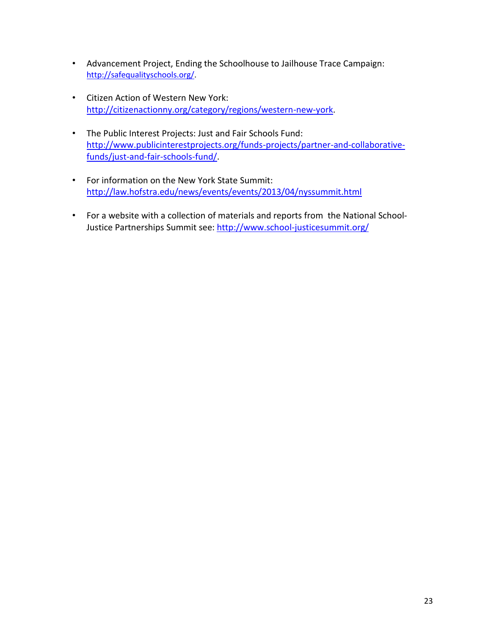- Advancement Project, Ending the Schoolhouse to Jailhouse Trace Campaign: [http://safequalityschools.org/.](http://safequalityschools.org/)
- Citizen Action of Western New York: [http://citizenactionny.org/category/regions/western-new-york.](http://citizenactionny.org/category/regions/western-new-york)
- The Public Interest Projects: Just and Fair Schools Fund: [http://www.publicinterestprojects.org/funds-projects/partner-and-collaborative](http://www.publicinterestprojects.org/funds-projects/partner-and-collaborative-funds/just-and-fair-schools-fund/)[funds/just-and-fair-schools-fund/.](http://www.publicinterestprojects.org/funds-projects/partner-and-collaborative-funds/just-and-fair-schools-fund/)
- For information on the New York State Summit: <http://law.hofstra.edu/news/events/events/2013/04/nyssummit.html>
- For a website with a collection of materials and reports from the National SchoolJustice Partnerships Summit see:<http://www.school-justicesummit.org/>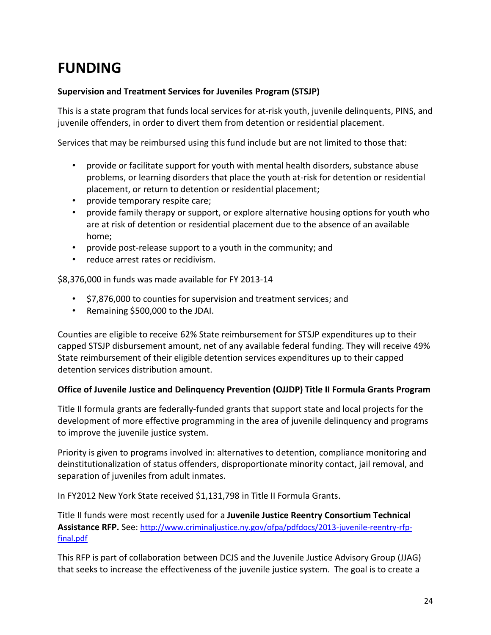# **FUNDING**

#### **Supervision and Treatment Services for Juveniles Program (STSJP)**

This is a state program that funds local services for at-risk youth, juvenile delinquents, PINS, and juvenile offenders, in order to divert them from detention or residential placement.

Services that may be reimbursed using this fund include but are not limited to those that:

- provide or facilitate support for youth with mental health disorders, substance abuse problems, or learning disorders that place the youth at-risk for detention or residential placement, or return to detention or residential placement;
- provide temporary respite care;
- provide family therapy or support, or explore alternative housing options for youth who are at risk of detention or residential placement due to the absence of an available home;
- provide post-release support to a youth in the community; and
- reduce arrest rates or recidivism.

\$8,376,000 in funds was made available for FY 2013-14

- \$7,876,000 to counties for supervision and treatment services; and
- Remaining \$500,000 to the JDAI.

Counties are eligible to receive 62% State reimbursement for STSJP expenditures up to their capped STSJP disbursement amount, net of any available federal funding. They will receive 49% State reimbursement of their eligible detention services expenditures up to their capped detention services distribution amount.

#### **Office of Juvenile Justice and Delinquency Prevention (OJJDP) Title II Formula Grants Program**

Title II formula grants are federally-funded grants that support state and local projects for the development of more effective programming in the area of juvenile delinquency and programs to improve the juvenile justice system.

Priority is given to programs involved in: alternatives to detention, compliance monitoring and deinstitutionalization of status offenders, disproportionate minority contact, jail removal, and separation of juveniles from adult inmates.

In FY2012 New York State received \$1,131,798 in Title II Formula Grants.

Title II funds were most recently used for a **Juvenile Justice Reentry Consortium Technical Assistance RFP.** See: [http://www.criminaljustice.ny.gov/ofpa/pdfdocs/2013-juvenile-reentry-rfp](http://www.criminaljustice.ny.gov/ofpa/pdfdocs/2013-juvenile-reentry-rfp-final.pdf)[final.pdf](http://www.criminaljustice.ny.gov/ofpa/pdfdocs/2013-juvenile-reentry-rfp-final.pdf)

This RFP is part of collaboration between DCJS and the Juvenile Justice Advisory Group (JJAG) that seeks to increase the effectiveness of the juvenile justice system. The goal is to create a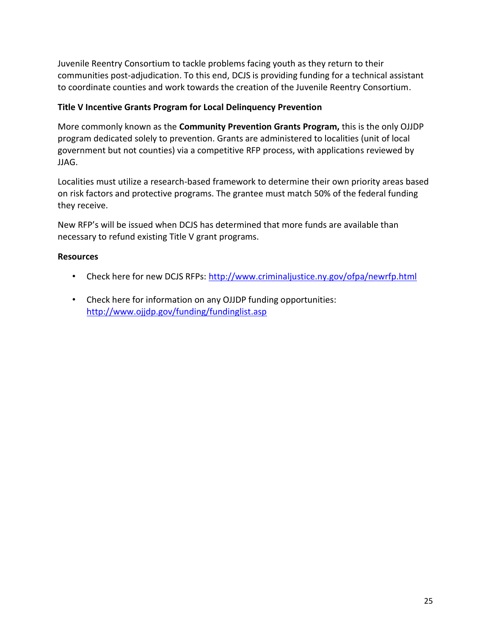Juvenile Reentry Consortium to tackle problems facing youth as they return to their communities post-adjudication. To this end, DCJS is providing funding for a technical assistant to coordinate counties and work towards the creation of the Juvenile Reentry Consortium.

#### **Title V Incentive Grants Program for Local Delinquency Prevention**

More commonly known as the **Community Prevention Grants Program,** this is the only OJJDP program dedicated solely to prevention. Grants are administered to localities (unit of local government but not counties) via a competitive RFP process, with applications reviewed by JJAG.

Localities must utilize a research-based framework to determine their own priority areas based on risk factors and protective programs. The grantee must match 50% of the federal funding they receive.

New RFP's will be issued when DCJS has determined that more funds are available than necessary to refund existing Title V grant programs.

#### **Resources**

- Check here for new DCJS RFPs:<http://www.criminaljustice.ny.gov/ofpa/newrfp.html>
- Check here for information on any OJJDP funding opportunities: <http://www.ojjdp.gov/funding/fundinglist.asp>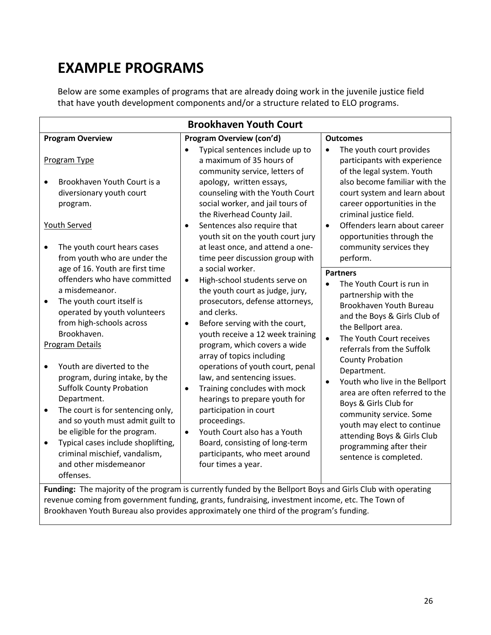# **EXAMPLE PROGRAMS**

Below are some examples of programs that are already doing work in the juvenile justice field that have youth development components and/or a structure related to ELO programs.

| <b>Brookhaven Youth Court</b>                                                                                                                                                                                                                                                                                                                                                                                                                                                                                                                                                              |                                                                                                                                                                                                                                                                                                                                                                                                                                                                                                                                                                                                                              |                                                                                                                                                                                                                                                                                                                                                                                                                                                                                                                                             |  |
|--------------------------------------------------------------------------------------------------------------------------------------------------------------------------------------------------------------------------------------------------------------------------------------------------------------------------------------------------------------------------------------------------------------------------------------------------------------------------------------------------------------------------------------------------------------------------------------------|------------------------------------------------------------------------------------------------------------------------------------------------------------------------------------------------------------------------------------------------------------------------------------------------------------------------------------------------------------------------------------------------------------------------------------------------------------------------------------------------------------------------------------------------------------------------------------------------------------------------------|---------------------------------------------------------------------------------------------------------------------------------------------------------------------------------------------------------------------------------------------------------------------------------------------------------------------------------------------------------------------------------------------------------------------------------------------------------------------------------------------------------------------------------------------|--|
| <b>Program Overview</b>                                                                                                                                                                                                                                                                                                                                                                                                                                                                                                                                                                    | <b>Program Overview (con'd)</b>                                                                                                                                                                                                                                                                                                                                                                                                                                                                                                                                                                                              | <b>Outcomes</b>                                                                                                                                                                                                                                                                                                                                                                                                                                                                                                                             |  |
| Program Type<br>Brookhaven Youth Court is a<br>diversionary youth court<br>program.<br><b>Youth Served</b>                                                                                                                                                                                                                                                                                                                                                                                                                                                                                 | Typical sentences include up to<br>a maximum of 35 hours of<br>community service, letters of<br>apology, written essays,<br>counseling with the Youth Court<br>social worker, and jail tours of<br>the Riverhead County Jail.<br>Sentences also require that<br>$\bullet$                                                                                                                                                                                                                                                                                                                                                    | The youth court provides<br>$\bullet$<br>participants with experience<br>of the legal system. Youth<br>also become familiar with the<br>court system and learn about<br>career opportunities in the<br>criminal justice field.<br>Offenders learn about career<br>$\bullet$                                                                                                                                                                                                                                                                 |  |
| The youth court hears cases<br>from youth who are under the                                                                                                                                                                                                                                                                                                                                                                                                                                                                                                                                | youth sit on the youth court jury<br>at least once, and attend a one-<br>time peer discussion group with                                                                                                                                                                                                                                                                                                                                                                                                                                                                                                                     | opportunities through the<br>community services they<br>perform.                                                                                                                                                                                                                                                                                                                                                                                                                                                                            |  |
| age of 16. Youth are first time<br>offenders who have committed<br>a misdemeanor.<br>The youth court itself is<br>$\bullet$<br>operated by youth volunteers<br>from high-schools across<br>Brookhaven.<br>Program Details<br>Youth are diverted to the<br>program, during intake, by the<br><b>Suffolk County Probation</b><br>Department.<br>The court is for sentencing only,<br>$\bullet$<br>and so youth must admit guilt to<br>be eligible for the program.<br>Typical cases include shoplifting,<br>$\bullet$<br>criminal mischief, vandalism,<br>and other misdemeanor<br>offenses. | a social worker.<br>High-school students serve on<br>$\bullet$<br>the youth court as judge, jury,<br>prosecutors, defense attorneys,<br>and clerks.<br>Before serving with the court,<br>٠<br>youth receive a 12 week training<br>program, which covers a wide<br>array of topics including<br>operations of youth court, penal<br>law, and sentencing issues.<br>Training concludes with mock<br>$\bullet$<br>hearings to prepare youth for<br>participation in court<br>proceedings.<br>Youth Court also has a Youth<br>$\bullet$<br>Board, consisting of long-term<br>participants, who meet around<br>four times a year. | <b>Partners</b><br>The Youth Court is run in<br>$\bullet$<br>partnership with the<br>Brookhaven Youth Bureau<br>and the Boys & Girls Club of<br>the Bellport area.<br>The Youth Court receives<br>$\bullet$<br>referrals from the Suffolk<br><b>County Probation</b><br>Department.<br>Youth who live in the Bellport<br>$\bullet$<br>area are often referred to the<br>Boys & Girls Club for<br>community service. Some<br>youth may elect to continue<br>attending Boys & Girls Club<br>programming after their<br>sentence is completed. |  |
| Funding: The majority of the program is currently funded by the Bellport Boys and Girls Club with operating<br>revenue coming from government funding, grants, fundraising, investment income, etc. The Town of                                                                                                                                                                                                                                                                                                                                                                            |                                                                                                                                                                                                                                                                                                                                                                                                                                                                                                                                                                                                                              |                                                                                                                                                                                                                                                                                                                                                                                                                                                                                                                                             |  |

Brookhaven Youth Bureau also provides approximately one third of the program's funding.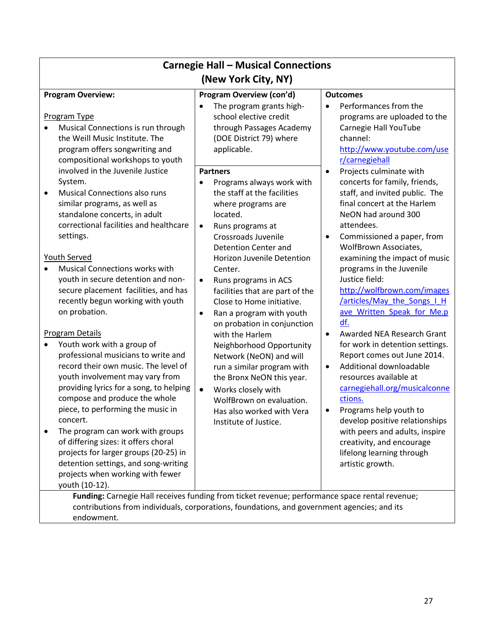| <b>Carnegie Hall - Musical Connections</b><br>(New York City, NY)                                                                                                                                                                                                                                                                                                                                                                                                                                                                                                                                                                                                                                                                                                                                                                                                                                                                                                    |                                                                                                                                                                                                                                                                                                                                                                                                                                                                                                                                                                                                                                                                                      |                                                                                                                                                                                                                                                                                                                                                                                                                                                                                                                                                                                                                                                                                                                                                                                                                             |  |
|----------------------------------------------------------------------------------------------------------------------------------------------------------------------------------------------------------------------------------------------------------------------------------------------------------------------------------------------------------------------------------------------------------------------------------------------------------------------------------------------------------------------------------------------------------------------------------------------------------------------------------------------------------------------------------------------------------------------------------------------------------------------------------------------------------------------------------------------------------------------------------------------------------------------------------------------------------------------|--------------------------------------------------------------------------------------------------------------------------------------------------------------------------------------------------------------------------------------------------------------------------------------------------------------------------------------------------------------------------------------------------------------------------------------------------------------------------------------------------------------------------------------------------------------------------------------------------------------------------------------------------------------------------------------|-----------------------------------------------------------------------------------------------------------------------------------------------------------------------------------------------------------------------------------------------------------------------------------------------------------------------------------------------------------------------------------------------------------------------------------------------------------------------------------------------------------------------------------------------------------------------------------------------------------------------------------------------------------------------------------------------------------------------------------------------------------------------------------------------------------------------------|--|
| <b>Program Overview:</b>                                                                                                                                                                                                                                                                                                                                                                                                                                                                                                                                                                                                                                                                                                                                                                                                                                                                                                                                             | <b>Program Overview (con'd)</b>                                                                                                                                                                                                                                                                                                                                                                                                                                                                                                                                                                                                                                                      | <b>Outcomes</b>                                                                                                                                                                                                                                                                                                                                                                                                                                                                                                                                                                                                                                                                                                                                                                                                             |  |
| Program Type<br>Musical Connections is run through<br>$\bullet$<br>the Weill Music Institute. The<br>program offers songwriting and<br>compositional workshops to youth                                                                                                                                                                                                                                                                                                                                                                                                                                                                                                                                                                                                                                                                                                                                                                                              | The program grants high-<br>school elective credit<br>through Passages Academy<br>(DOE District 79) where<br>applicable.                                                                                                                                                                                                                                                                                                                                                                                                                                                                                                                                                             | Performances from the<br>$\bullet$<br>programs are uploaded to the<br>Carnegie Hall YouTube<br>channel:<br>http://www.youtube.com/use<br>r/carnegiehall                                                                                                                                                                                                                                                                                                                                                                                                                                                                                                                                                                                                                                                                     |  |
| involved in the Juvenile Justice<br>System.<br><b>Musical Connections also runs</b><br>$\bullet$<br>similar programs, as well as<br>standalone concerts, in adult<br>correctional facilities and healthcare<br>settings.<br>Youth Served<br><b>Musical Connections works with</b><br>$\bullet$<br>youth in secure detention and non-<br>secure placement facilities, and has<br>recently begun working with youth<br>on probation.<br><b>Program Details</b><br>Youth work with a group of<br>$\bullet$<br>professional musicians to write and<br>record their own music. The level of<br>youth involvement may vary from<br>providing lyrics for a song, to helping<br>compose and produce the whole<br>piece, to performing the music in<br>concert.<br>The program can work with groups<br>$\bullet$<br>of differing sizes: it offers choral<br>projects for larger groups (20-25) in<br>detention settings, and song-writing<br>projects when working with fewer | <b>Partners</b><br>Programs always work with<br>the staff at the facilities<br>where programs are<br>located.<br>Runs programs at<br>$\bullet$<br>Crossroads Juvenile<br><b>Detention Center and</b><br>Horizon Juvenile Detention<br>Center.<br>Runs programs in ACS<br>$\bullet$<br>facilities that are part of the<br>Close to Home initiative.<br>Ran a program with youth<br>$\bullet$<br>on probation in conjunction<br>with the Harlem<br>Neighborhood Opportunity<br>Network (NeON) and will<br>run a similar program with<br>the Bronx NeON this year.<br>Works closely with<br>$\bullet$<br>WolfBrown on evaluation.<br>Has also worked with Vera<br>Institute of Justice. | Projects culminate with<br>$\bullet$<br>concerts for family, friends,<br>staff, and invited public. The<br>final concert at the Harlem<br>NeON had around 300<br>attendees.<br>Commissioned a paper, from<br>WolfBrown Associates,<br>examining the impact of music<br>programs in the Juvenile<br>Justice field:<br>http://wolfbrown.com/images<br>/articles/May the Songs I H<br>ave Written Speak for Me.p<br>df.<br>Awarded NEA Research Grant<br>$\bullet$<br>for work in detention settings.<br>Report comes out June 2014.<br>Additional downloadable<br>$\bullet$<br>resources available at<br>carnegiehall.org/musicalconne<br>ctions.<br>Programs help youth to<br>develop positive relationships<br>with peers and adults, inspire<br>creativity, and encourage<br>lifelong learning through<br>artistic growth. |  |
| youth (10-12).<br>Funding: Carnegie Hall receives funding from ticket revenue; performance space rental revenue;<br>contributions from individuals, corporations, foundations, and government agencies; and its                                                                                                                                                                                                                                                                                                                                                                                                                                                                                                                                                                                                                                                                                                                                                      |                                                                                                                                                                                                                                                                                                                                                                                                                                                                                                                                                                                                                                                                                      |                                                                                                                                                                                                                                                                                                                                                                                                                                                                                                                                                                                                                                                                                                                                                                                                                             |  |

endowment.